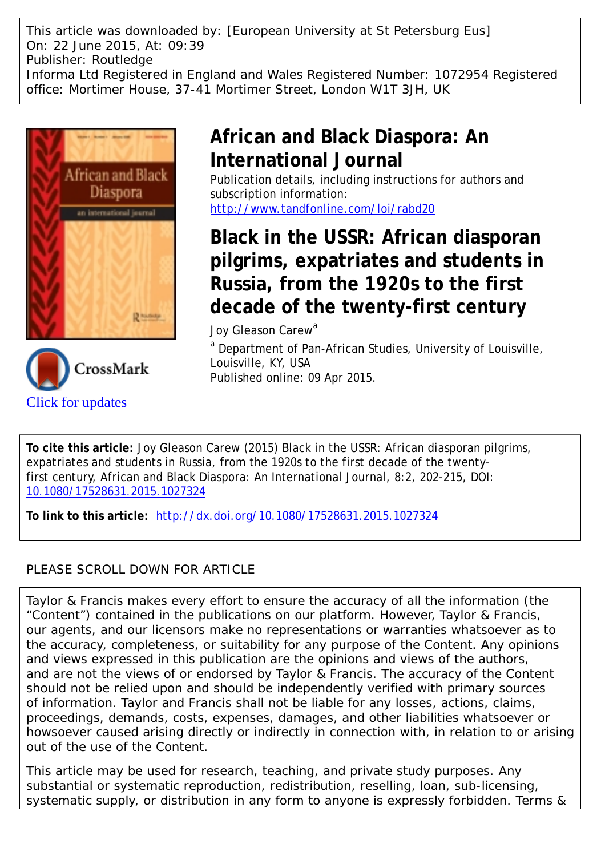This article was downloaded by: [European University at St Petersburg Eus] On: 22 June 2015, At: 09:39 Publisher: Routledge Informa Ltd Registered in England and Wales Registered Number: 1072954 Registered office: Mortimer House, 37-41 Mortimer Street, London W1T 3JH, UK





# **African and Black Diaspora: An International Journal**

Publication details, including instructions for authors and subscription information: <http://www.tandfonline.com/loi/rabd20>

# **Black in the USSR: African diasporan pilgrims, expatriates and students in Russia, from the 1920s to the first decade of the twenty-first century**

Joy Gleason Carew<sup>a</sup>

<sup>a</sup> Department of Pan-African Studies, University of Louisville, Louisville, KY, USA Published online: 09 Apr 2015.

**To cite this article:** Joy Gleason Carew (2015) Black in the USSR: African diasporan pilgrims, expatriates and students in Russia, from the 1920s to the first decade of the twentyfirst century, African and Black Diaspora: An International Journal, 8:2, 202-215, DOI: [10.1080/17528631.2015.1027324](http://www.tandfonline.com/action/showCitFormats?doi=10.1080/17528631.2015.1027324)

**To link to this article:** <http://dx.doi.org/10.1080/17528631.2015.1027324>

# PLEASE SCROLL DOWN FOR ARTICLE

Taylor & Francis makes every effort to ensure the accuracy of all the information (the "Content") contained in the publications on our platform. However, Taylor & Francis, our agents, and our licensors make no representations or warranties whatsoever as to the accuracy, completeness, or suitability for any purpose of the Content. Any opinions and views expressed in this publication are the opinions and views of the authors, and are not the views of or endorsed by Taylor & Francis. The accuracy of the Content should not be relied upon and should be independently verified with primary sources of information. Taylor and Francis shall not be liable for any losses, actions, claims, proceedings, demands, costs, expenses, damages, and other liabilities whatsoever or howsoever caused arising directly or indirectly in connection with, in relation to or arising out of the use of the Content.

This article may be used for research, teaching, and private study purposes. Any substantial or systematic reproduction, redistribution, reselling, loan, sub-licensing, systematic supply, or distribution in any form to anyone is expressly forbidden. Terms &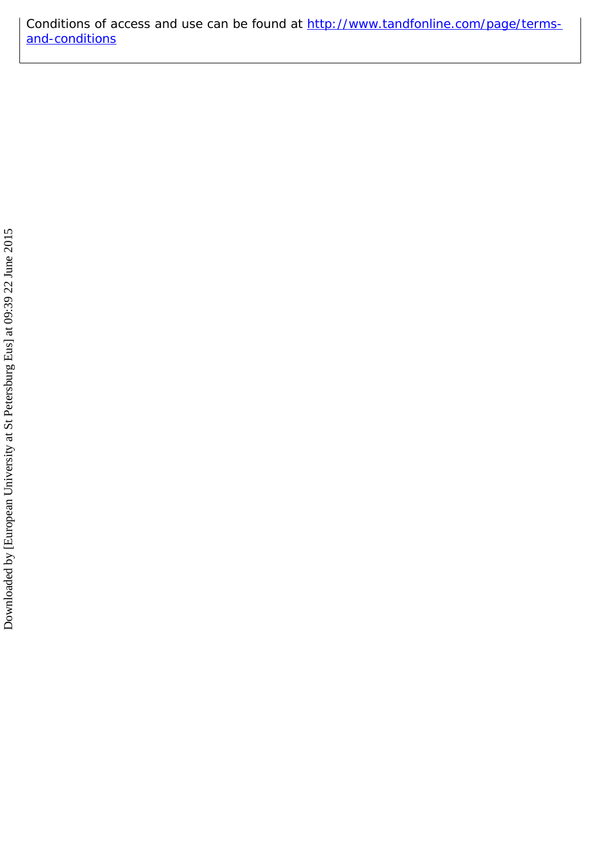Conditions of access and use can be found at [http://www.tandfonline.com/page/terms](http://www.tandfonline.com/page/terms-and-conditions)[and-conditions](http://www.tandfonline.com/page/terms-and-conditions)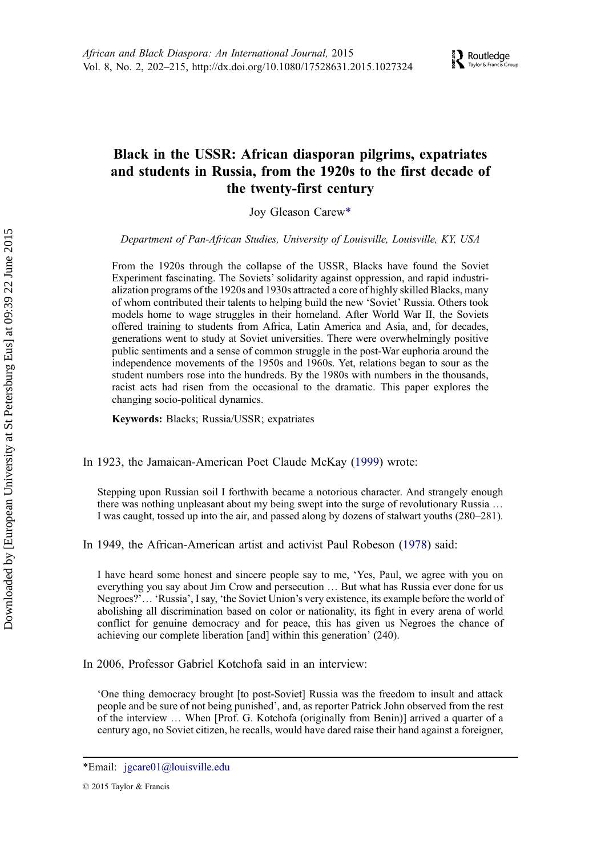## Black in the USSR: African diasporan pilgrims, expatriates and students in Russia, from the 1920s to the first decade of the twenty-first century

Joy Gleason Carew\*

Department of Pan-African Studies, University of Louisville, Louisville, KY, USA

From the 1920s through the collapse of the USSR, Blacks have found the Soviet Experiment fascinating. The Soviets' solidarity against oppression, and rapid industrialization programs of the 1920s and 1930s attracted a core of highly skilled Blacks, many of whom contributed their talents to helping build the new 'Soviet' Russia. Others took models home to wage struggles in their homeland. After World War II, the Soviets offered training to students from Africa, Latin America and Asia, and, for decades, generations went to study at Soviet universities. There were overwhelmingly positive public sentiments and a sense of common struggle in the post-War euphoria around the independence movements of the 1950s and 1960s. Yet, relations began to sour as the student numbers rose into the hundreds. By the 1980s with numbers in the thousands, racist acts had risen from the occasional to the dramatic. This paper explores the changing socio-political dynamics.

Keywords: Blacks; Russia/USSR; expatriates

In 1923, the Jamaican-American Poet Claude McKay [\(1999](#page-15-0)) wrote:

Stepping upon Russian soil I forthwith became a notorious character. And strangely enough there was nothing unpleasant about my being swept into the surge of revolutionary Russia … I was caught, tossed up into the air, and passed along by dozens of stalwart youths (280–281).

In 1949, the African-American artist and activist Paul Robeson ([1978\)](#page-15-0) said:

I have heard some honest and sincere people say to me, 'Yes, Paul, we agree with you on everything you say about Jim Crow and persecution … But what has Russia ever done for us Negroes?'… 'Russia', I say, 'the Soviet Union's very existence, its example before the world of abolishing all discrimination based on color or nationality, its fight in every arena of world conflict for genuine democracy and for peace, this has given us Negroes the chance of achieving our complete liberation [and] within this generation' (240).

In 2006, Professor Gabriel Kotchofa said in an interview:

'One thing democracy brought [to post-Soviet] Russia was the freedom to insult and attack people and be sure of not being punished', and, as reporter Patrick John observed from the rest of the interview … When [Prof. G. Kotchofa (originally from Benin)] arrived a quarter of a century ago, no Soviet citizen, he recalls, would have dared raise their hand against a foreigner,

<sup>\*</sup>Email: [jgcare01@louisville.edu](mailto: jgcare01@louisville.edu)

<sup>© 2015</sup> Taylor & Francis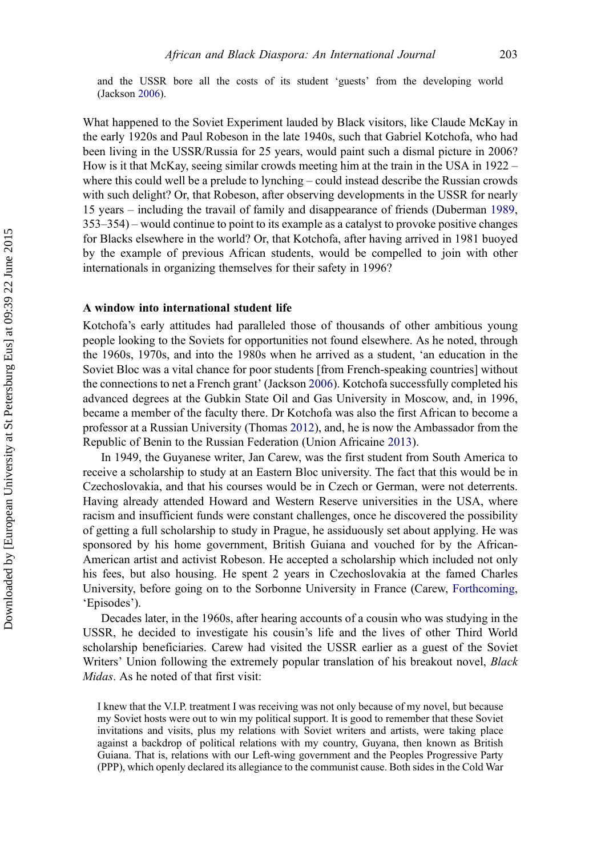and the USSR bore all the costs of its student 'guests' from the developing world (Jackson [2006](#page-14-0)).

What happened to the Soviet Experiment lauded by Black visitors, like Claude McKay in the early 1920s and Paul Robeson in the late 1940s, such that Gabriel Kotchofa, who had been living in the USSR/Russia for 25 years, would paint such a dismal picture in 2006? How is it that McKay, seeing similar crowds meeting him at the train in the USA in 1922 – where this could well be a prelude to lynching – could instead describe the Russian crowds with such delight? Or, that Robeson, after observing developments in the USSR for nearly 15 years – including the travail of family and disappearance of friends (Duberman [1989,](#page-14-0) 353–354) – would continue to point to its example as a catalyst to provoke positive changes for Blacks elsewhere in the world? Or, that Kotchofa, after having arrived in 1981 buoyed by the example of previous African students, would be compelled to join with other internationals in organizing themselves for their safety in 1996?

## A window into international student life

Kotchofa's early attitudes had paralleled those of thousands of other ambitious young people looking to the Soviets for opportunities not found elsewhere. As he noted, through the 1960s, 1970s, and into the 1980s when he arrived as a student, 'an education in the Soviet Bloc was a vital chance for poor students [from French-speaking countries] without the connections to net a French grant' (Jackson [2006](#page-14-0)). Kotchofa successfully completed his advanced degrees at the Gubkin State Oil and Gas University in Moscow, and, in 1996, became a member of the faculty there. Dr Kotchofa was also the first African to become a professor at a Russian University (Thomas [2012](#page-15-0)), and, he is now the Ambassador from the Republic of Benin to the Russian Federation (Union Africaine [2013](#page-15-0)).

In 1949, the Guyanese writer, Jan Carew, was the first student from South America to receive a scholarship to study at an Eastern Bloc university. The fact that this would be in Czechoslovakia, and that his courses would be in Czech or German, were not deterrents. Having already attended Howard and Western Reserve universities in the USA, where racism and insufficient funds were constant challenges, once he discovered the possibility of getting a full scholarship to study in Prague, he assiduously set about applying. He was sponsored by his home government, British Guiana and vouched for by the African-American artist and activist Robeson. He accepted a scholarship which included not only his fees, but also housing. He spent 2 years in Czechoslovakia at the famed Charles University, before going on to the Sorbonne University in France (Carew, [Forthcoming,](#page-14-0) 'Episodes').

Decades later, in the 1960s, after hearing accounts of a cousin who was studying in the USSR, he decided to investigate his cousin's life and the lives of other Third World scholarship beneficiaries. Carew had visited the USSR earlier as a guest of the Soviet Writers' Union following the extremely popular translation of his breakout novel, Black Midas. As he noted of that first visit:

I knew that the V.I.P. treatment I was receiving was not only because of my novel, but because my Soviet hosts were out to win my political support. It is good to remember that these Soviet invitations and visits, plus my relations with Soviet writers and artists, were taking place against a backdrop of political relations with my country, Guyana, then known as British Guiana. That is, relations with our Left-wing government and the Peoples Progressive Party (PPP), which openly declared its allegiance to the communist cause. Both sides in the Cold War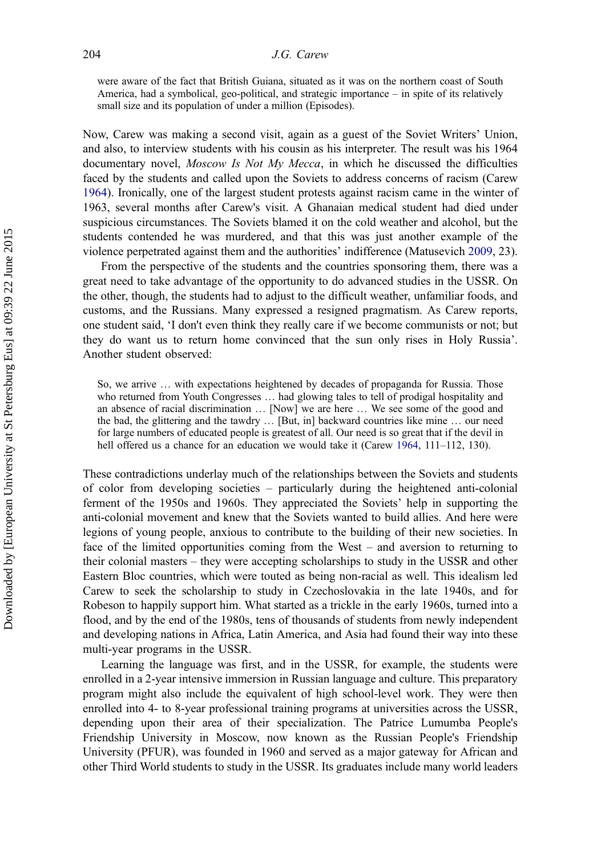## 204 J.G. Carew

were aware of the fact that British Guiana, situated as it was on the northern coast of South America, had a symbolical, geo-political, and strategic importance – in spite of its relatively small size and its population of under a million (Episodes).

Now, Carew was making a second visit, again as a guest of the Soviet Writers' Union, and also, to interview students with his cousin as his interpreter. The result was his 1964 documentary novel, Moscow Is Not My Mecca, in which he discussed the difficulties faced by the students and called upon the Soviets to address concerns of racism (Carew [1964\)](#page-14-0). Ironically, one of the largest student protests against racism came in the winter of 1963, several months after Carew's visit. A Ghanaian medical student had died under suspicious circumstances. The Soviets blamed it on the cold weather and alcohol, but the students contended he was murdered, and that this was just another example of the violence perpetrated against them and the authorities' indifference (Matusevich [2009](#page-15-0), 23).

From the perspective of the students and the countries sponsoring them, there was a great need to take advantage of the opportunity to do advanced studies in the USSR. On the other, though, the students had to adjust to the difficult weather, unfamiliar foods, and customs, and the Russians. Many expressed a resigned pragmatism. As Carew reports, one student said, 'I don't even think they really care if we become communists or not; but they do want us to return home convinced that the sun only rises in Holy Russia'. Another student observed:

So, we arrive … with expectations heightened by decades of propaganda for Russia. Those who returned from Youth Congresses … had glowing tales to tell of prodigal hospitality and an absence of racial discrimination … [Now] we are here … We see some of the good and the bad, the glittering and the tawdry … [But, in] backward countries like mine … our need for large numbers of educated people is greatest of all. Our need is so great that if the devil in hell offered us a chance for an education we would take it (Carew [1964,](#page-14-0) 111–112, 130).

These contradictions underlay much of the relationships between the Soviets and students of color from developing societies – particularly during the heightened anti-colonial ferment of the 1950s and 1960s. They appreciated the Soviets' help in supporting the anti-colonial movement and knew that the Soviets wanted to build allies. And here were legions of young people, anxious to contribute to the building of their new societies. In face of the limited opportunities coming from the West – and aversion to returning to their colonial masters – they were accepting scholarships to study in the USSR and other Eastern Bloc countries, which were touted as being non-racial as well. This idealism led Carew to seek the scholarship to study in Czechoslovakia in the late 1940s, and for Robeson to happily support him. What started as a trickle in the early 1960s, turned into a flood, and by the end of the 1980s, tens of thousands of students from newly independent and developing nations in Africa, Latin America, and Asia had found their way into these multi-year programs in the USSR.

Learning the language was first, and in the USSR, for example, the students were enrolled in a 2-year intensive immersion in Russian language and culture. This preparatory program might also include the equivalent of high school-level work. They were then enrolled into 4- to 8-year professional training programs at universities across the USSR, depending upon their area of their specialization. The Patrice Lumumba People's Friendship University in Moscow, now known as the Russian People's Friendship University (PFUR), was founded in 1960 and served as a major gateway for African and other Third World students to study in the USSR. Its graduates include many world leaders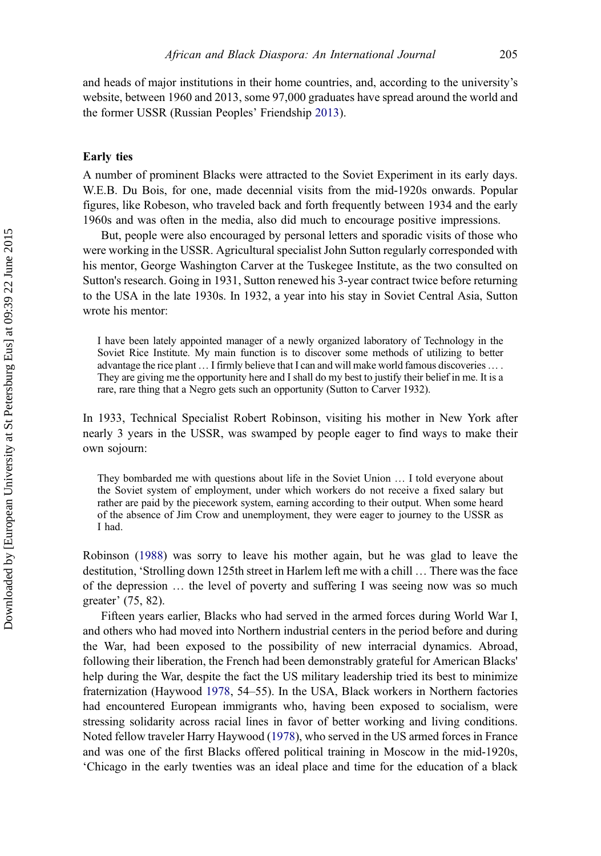and heads of major institutions in their home countries, and, according to the university's website, between 1960 and 2013, some 97,000 graduates have spread around the world and the former USSR (Russian Peoples' Friendship [2013\)](#page-15-0).

#### Early ties

A number of prominent Blacks were attracted to the Soviet Experiment in its early days. W.E.B. Du Bois, for one, made decennial visits from the mid-1920s onwards. Popular figures, like Robeson, who traveled back and forth frequently between 1934 and the early 1960s and was often in the media, also did much to encourage positive impressions.

But, people were also encouraged by personal letters and sporadic visits of those who were working in the USSR. Agricultural specialist John Sutton regularly corresponded with his mentor, George Washington Carver at the Tuskegee Institute, as the two consulted on Sutton's research. Going in 1931, Sutton renewed his 3-year contract twice before returning to the USA in the late 1930s. In 1932, a year into his stay in Soviet Central Asia, Sutton wrote his mentor:

I have been lately appointed manager of a newly organized laboratory of Technology in the Soviet Rice Institute. My main function is to discover some methods of utilizing to better advantage the rice plant ... I firmly believe that I can and will make world famous discoveries ... . They are giving me the opportunity here and I shall do my best to justify their belief in me. It is a rare, rare thing that a Negro gets such an opportunity (Sutton to Carver 1932).

In 1933, Technical Specialist Robert Robinson, visiting his mother in New York after nearly 3 years in the USSR, was swamped by people eager to find ways to make their own sojourn:

They bombarded me with questions about life in the Soviet Union … I told everyone about the Soviet system of employment, under which workers do not receive a fixed salary but rather are paid by the piecework system, earning according to their output. When some heard of the absence of Jim Crow and unemployment, they were eager to journey to the USSR as I had.

Robinson [\(1988](#page-15-0)) was sorry to leave his mother again, but he was glad to leave the destitution, 'Strolling down 125th street in Harlem left me with a chill … There was the face of the depression … the level of poverty and suffering I was seeing now was so much greater' (75, 82).

Fifteen years earlier, Blacks who had served in the armed forces during World War I, and others who had moved into Northern industrial centers in the period before and during the War, had been exposed to the possibility of new interracial dynamics. Abroad, following their liberation, the French had been demonstrably grateful for American Blacks' help during the War, despite the fact the US military leadership tried its best to minimize fraternization (Haywood [1978](#page-14-0), 54–55). In the USA, Black workers in Northern factories had encountered European immigrants who, having been exposed to socialism, were stressing solidarity across racial lines in favor of better working and living conditions. Noted fellow traveler Harry Haywood ([1978](#page-14-0)), who served in the US armed forces in France and was one of the first Blacks offered political training in Moscow in the mid-1920s, 'Chicago in the early twenties was an ideal place and time for the education of a black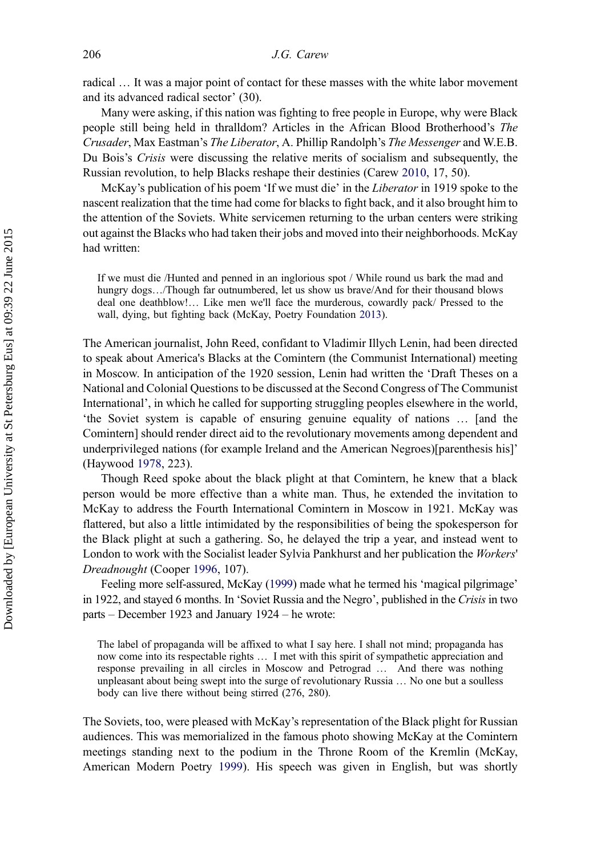radical … It was a major point of contact for these masses with the white labor movement and its advanced radical sector' (30).

Many were asking, if this nation was fighting to free people in Europe, why were Black people still being held in thralldom? Articles in the African Blood Brotherhood's The Crusader, Max Eastman's The Liberator, A. Phillip Randolph's The Messenger and W.E.B. Du Bois's Crisis were discussing the relative merits of socialism and subsequently, the Russian revolution, to help Blacks reshape their destinies (Carew [2010](#page-14-0), 17, 50).

McKay's publication of his poem 'If we must die' in the Liberator in 1919 spoke to the nascent realization that the time had come for blacks to fight back, and it also brought him to the attention of the Soviets. White servicemen returning to the urban centers were striking out against the Blacks who had taken their jobs and moved into their neighborhoods. McKay had written:

If we must die /Hunted and penned in an inglorious spot / While round us bark the mad and hungry dogs…/Though far outnumbered, let us show us brave/And for their thousand blows deal one deathblow!… Like men we'll face the murderous, cowardly pack/ Pressed to the wall, dying, but fighting back (McKay, Poetry Foundation [2013](#page-15-0)).

The American journalist, John Reed, confidant to Vladimir Illych Lenin, had been directed to speak about America's Blacks at the Comintern (the Communist International) meeting in Moscow. In anticipation of the 1920 session, Lenin had written the 'Draft Theses on a National and Colonial Questions to be discussed at the Second Congress of The Communist International', in which he called for supporting struggling peoples elsewhere in the world, 'the Soviet system is capable of ensuring genuine equality of nations … [and the Comintern] should render direct aid to the revolutionary movements among dependent and underprivileged nations (for example Ireland and the American Negroes)[parenthesis his]' (Haywood [1978,](#page-14-0) 223).

Though Reed spoke about the black plight at that Comintern, he knew that a black person would be more effective than a white man. Thus, he extended the invitation to McKay to address the Fourth International Comintern in Moscow in 1921. McKay was flattered, but also a little intimidated by the responsibilities of being the spokesperson for the Black plight at such a gathering. So, he delayed the trip a year, and instead went to London to work with the Socialist leader Sylvia Pankhurst and her publication the Workers' Dreadnought (Cooper [1996,](#page-14-0) 107).

Feeling more self-assured, McKay [\(1999](#page-15-0)) made what he termed his 'magical pilgrimage' in 1922, and stayed 6 months. In 'Soviet Russia and the Negro', published in the Crisis in two parts – December 1923 and January 1924 – he wrote:

The label of propaganda will be affixed to what I say here. I shall not mind; propaganda has now come into its respectable rights … I met with this spirit of sympathetic appreciation and response prevailing in all circles in Moscow and Petrograd … And there was nothing unpleasant about being swept into the surge of revolutionary Russia … No one but a soulless body can live there without being stirred (276, 280).

The Soviets, too, were pleased with McKay's representation of the Black plight for Russian audiences. This was memorialized in the famous photo showing McKay at the Comintern meetings standing next to the podium in the Throne Room of the Kremlin (McKay, American Modern Poetry [1999](#page-15-0)). His speech was given in English, but was shortly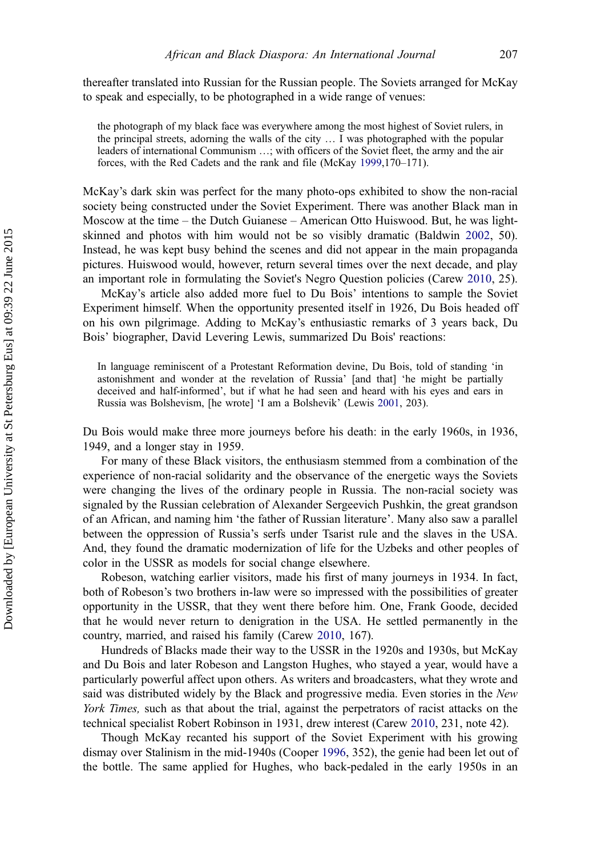thereafter translated into Russian for the Russian people. The Soviets arranged for McKay to speak and especially, to be photographed in a wide range of venues:

the photograph of my black face was everywhere among the most highest of Soviet rulers, in the principal streets, adorning the walls of the city … I was photographed with the popular leaders of international Communism …; with officers of the Soviet fleet, the army and the air forces, with the Red Cadets and the rank and file (McKay [1999](#page-15-0),170–171).

McKay's dark skin was perfect for the many photo-ops exhibited to show the non-racial society being constructed under the Soviet Experiment. There was another Black man in Moscow at the time – the Dutch Guianese – American Otto Huiswood. But, he was lightskinned and photos with him would not be so visibly dramatic (Baldwin [2002](#page-14-0), 50). Instead, he was kept busy behind the scenes and did not appear in the main propaganda pictures. Huiswood would, however, return several times over the next decade, and play an important role in formulating the Soviet's Negro Question policies (Carew [2010,](#page-14-0) 25).

McKay's article also added more fuel to Du Bois' intentions to sample the Soviet Experiment himself. When the opportunity presented itself in 1926, Du Bois headed off on his own pilgrimage. Adding to McKay's enthusiastic remarks of 3 years back, Du Bois' biographer, David Levering Lewis, summarized Du Bois' reactions:

In language reminiscent of a Protestant Reformation devine, Du Bois, told of standing 'in astonishment and wonder at the revelation of Russia' [and that] 'he might be partially deceived and half-informed', but if what he had seen and heard with his eyes and ears in Russia was Bolshevism, [he wrote] 'I am a Bolshevik' (Lewis [2001](#page-14-0), 203).

Du Bois would make three more journeys before his death: in the early 1960s, in 1936, 1949, and a longer stay in 1959.

For many of these Black visitors, the enthusiasm stemmed from a combination of the experience of non-racial solidarity and the observance of the energetic ways the Soviets were changing the lives of the ordinary people in Russia. The non-racial society was signaled by the Russian celebration of Alexander Sergeevich Pushkin, the great grandson of an African, and naming him 'the father of Russian literature'. Many also saw a parallel between the oppression of Russia's serfs under Tsarist rule and the slaves in the USA. And, they found the dramatic modernization of life for the Uzbeks and other peoples of color in the USSR as models for social change elsewhere.

Robeson, watching earlier visitors, made his first of many journeys in 1934. In fact, both of Robeson's two brothers in-law were so impressed with the possibilities of greater opportunity in the USSR, that they went there before him. One, Frank Goode, decided that he would never return to denigration in the USA. He settled permanently in the country, married, and raised his family (Carew [2010,](#page-14-0) 167).

Hundreds of Blacks made their way to the USSR in the 1920s and 1930s, but McKay and Du Bois and later Robeson and Langston Hughes, who stayed a year, would have a particularly powerful affect upon others. As writers and broadcasters, what they wrote and said was distributed widely by the Black and progressive media. Even stories in the New York Times, such as that about the trial, against the perpetrators of racist attacks on the technical specialist Robert Robinson in 1931, drew interest (Carew [2010](#page-14-0), 231, note 42).

Though McKay recanted his support of the Soviet Experiment with his growing dismay over Stalinism in the mid-1940s (Cooper [1996](#page-14-0), 352), the genie had been let out of the bottle. The same applied for Hughes, who back-pedaled in the early 1950s in an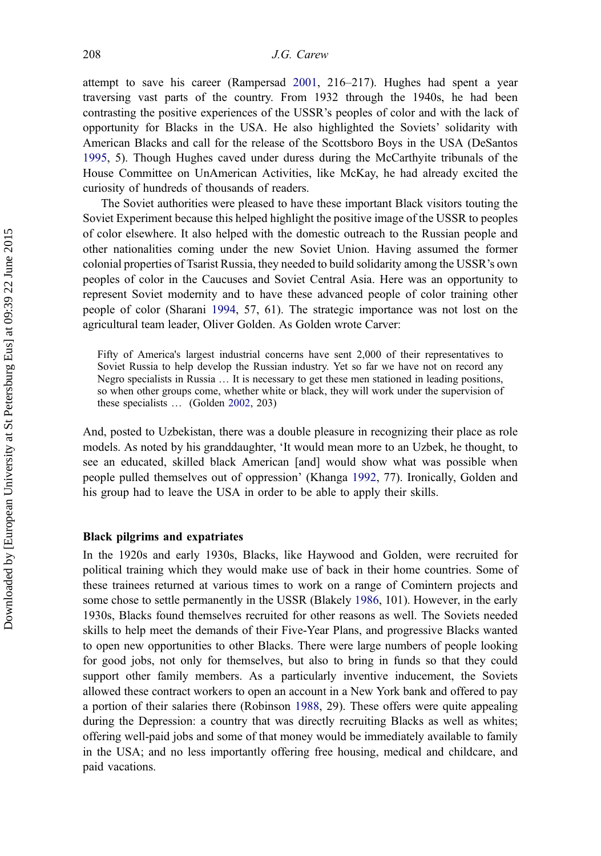attempt to save his career (Rampersad [2001,](#page-15-0) 216–217). Hughes had spent a year traversing vast parts of the country. From 1932 through the 1940s, he had been contrasting the positive experiences of the USSR's peoples of color and with the lack of opportunity for Blacks in the USA. He also highlighted the Soviets' solidarity with American Blacks and call for the release of the Scottsboro Boys in the USA (DeSantos [1995,](#page-14-0) 5). Though Hughes caved under duress during the McCarthyite tribunals of the House Committee on UnAmerican Activities, like McKay, he had already excited the curiosity of hundreds of thousands of readers.

The Soviet authorities were pleased to have these important Black visitors touting the Soviet Experiment because this helped highlight the positive image of the USSR to peoples of color elsewhere. It also helped with the domestic outreach to the Russian people and other nationalities coming under the new Soviet Union. Having assumed the former colonial properties of Tsarist Russia, they needed to build solidarity among the USSR's own peoples of color in the Caucuses and Soviet Central Asia. Here was an opportunity to represent Soviet modernity and to have these advanced people of color training other people of color (Sharani [1994,](#page-15-0) 57, 61). The strategic importance was not lost on the agricultural team leader, Oliver Golden. As Golden wrote Carver:

Fifty of America's largest industrial concerns have sent 2,000 of their representatives to Soviet Russia to help develop the Russian industry. Yet so far we have not on record any Negro specialists in Russia … It is necessary to get these men stationed in leading positions, so when other groups come, whether white or black, they will work under the supervision of these specialists … (Golden [2002,](#page-14-0) 203)

And, posted to Uzbekistan, there was a double pleasure in recognizing their place as role models. As noted by his granddaughter, 'It would mean more to an Uzbek, he thought, to see an educated, skilled black American [and] would show what was possible when people pulled themselves out of oppression' (Khanga [1992](#page-14-0), 77). Ironically, Golden and his group had to leave the USA in order to be able to apply their skills.

#### Black pilgrims and expatriates

In the 1920s and early 1930s, Blacks, like Haywood and Golden, were recruited for political training which they would make use of back in their home countries. Some of these trainees returned at various times to work on a range of Comintern projects and some chose to settle permanently in the USSR (Blakely [1986](#page-14-0), 101). However, in the early 1930s, Blacks found themselves recruited for other reasons as well. The Soviets needed skills to help meet the demands of their Five-Year Plans, and progressive Blacks wanted to open new opportunities to other Blacks. There were large numbers of people looking for good jobs, not only for themselves, but also to bring in funds so that they could support other family members. As a particularly inventive inducement, the Soviets allowed these contract workers to open an account in a New York bank and offered to pay a portion of their salaries there (Robinson [1988](#page-15-0), 29). These offers were quite appealing during the Depression: a country that was directly recruiting Blacks as well as whites; offering well-paid jobs and some of that money would be immediately available to family in the USA; and no less importantly offering free housing, medical and childcare, and paid vacations.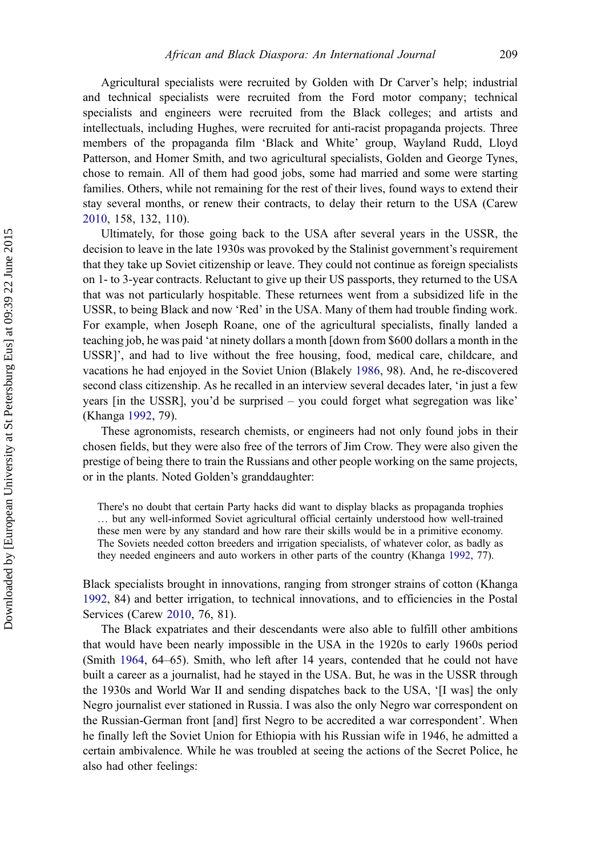Agricultural specialists were recruited by Golden with Dr Carver's help; industrial and technical specialists were recruited from the Ford motor company; technical specialists and engineers were recruited from the Black colleges; and artists and intellectuals, including Hughes, were recruited for anti-racist propaganda projects. Three members of the propaganda film 'Black and White' group, Wayland Rudd, Lloyd Patterson, and Homer Smith, and two agricultural specialists, Golden and George Tynes, chose to remain. All of them had good jobs, some had married and some were starting families. Others, while not remaining for the rest of their lives, found ways to extend their stay several months, or renew their contracts, to delay their return to the USA (Carew [2010,](#page-14-0) 158, 132, 110).

Ultimately, for those going back to the USA after several years in the USSR, the decision to leave in the late 1930s was provoked by the Stalinist government's requirement that they take up Soviet citizenship or leave. They could not continue as foreign specialists on 1- to 3-year contracts. Reluctant to give up their US passports, they returned to the USA that was not particularly hospitable. These returnees went from a subsidized life in the USSR, to being Black and now 'Red' in the USA. Many of them had trouble finding work. For example, when Joseph Roane, one of the agricultural specialists, finally landed a teaching job, he was paid 'at ninety dollars a month [down from \$600 dollars a month in the USSR]', and had to live without the free housing, food, medical care, childcare, and vacations he had enjoyed in the Soviet Union (Blakely [1986](#page-14-0), 98). And, he re-discovered second class citizenship. As he recalled in an interview several decades later, 'in just a few years [in the USSR], you'd be surprised – you could forget what segregation was like' (Khanga [1992,](#page-14-0) 79).

These agronomists, research chemists, or engineers had not only found jobs in their chosen fields, but they were also free of the terrors of Jim Crow. They were also given the prestige of being there to train the Russians and other people working on the same projects, or in the plants. Noted Golden's granddaughter:

There's no doubt that certain Party hacks did want to display blacks as propaganda trophies … but any well-informed Soviet agricultural official certainly understood how well-trained these men were by any standard and how rare their skills would be in a primitive economy. The Soviets needed cotton breeders and irrigation specialists, of whatever color, as badly as they needed engineers and auto workers in other parts of the country (Khanga [1992](#page-14-0), 77).

Black specialists brought in innovations, ranging from stronger strains of cotton (Khanga [1992,](#page-14-0) 84) and better irrigation, to technical innovations, and to efficiencies in the Postal Services (Carew [2010](#page-14-0), 76, 81).

The Black expatriates and their descendants were also able to fulfill other ambitions that would have been nearly impossible in the USA in the 1920s to early 1960s period (Smith [1964](#page-15-0), 64–65). Smith, who left after 14 years, contended that he could not have built a career as a journalist, had he stayed in the USA. But, he was in the USSR through the 1930s and World War II and sending dispatches back to the USA, '[I was] the only Negro journalist ever stationed in Russia. I was also the only Negro war correspondent on the Russian-German front [and] first Negro to be accredited a war correspondent'. When he finally left the Soviet Union for Ethiopia with his Russian wife in 1946, he admitted a certain ambivalence. While he was troubled at seeing the actions of the Secret Police, he also had other feelings: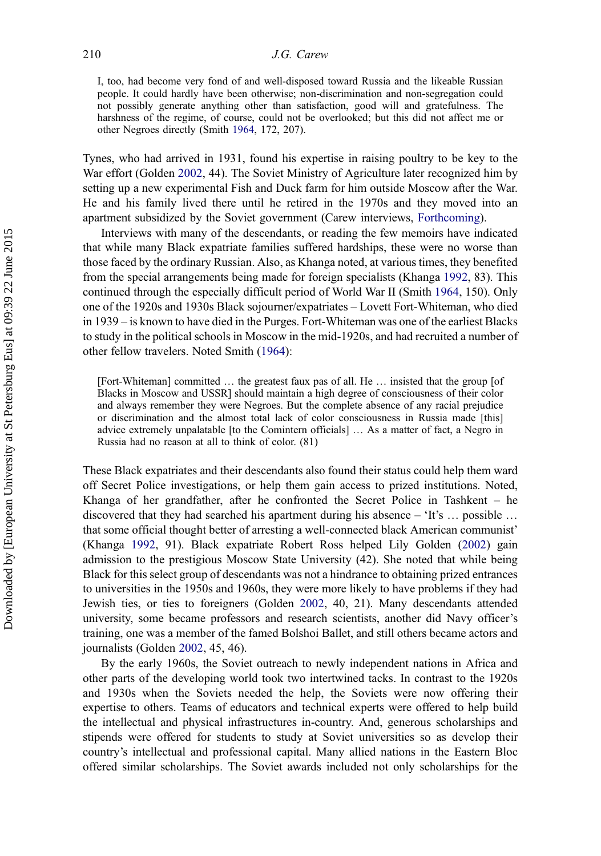I, too, had become very fond of and well-disposed toward Russia and the likeable Russian people. It could hardly have been otherwise; non-discrimination and non-segregation could not possibly generate anything other than satisfaction, good will and gratefulness. The harshness of the regime, of course, could not be overlooked; but this did not affect me or other Negroes directly (Smith [1964,](#page-15-0) 172, 207).

Tynes, who had arrived in 1931, found his expertise in raising poultry to be key to the War effort (Golden [2002](#page-14-0), 44). The Soviet Ministry of Agriculture later recognized him by setting up a new experimental Fish and Duck farm for him outside Moscow after the War. He and his family lived there until he retired in the 1970s and they moved into an apartment subsidized by the Soviet government (Carew interviews, [Forthcoming](#page-14-0)).

Interviews with many of the descendants, or reading the few memoirs have indicated that while many Black expatriate families suffered hardships, these were no worse than those faced by the ordinary Russian. Also, as Khanga noted, at various times, they benefited from the special arrangements being made for foreign specialists (Khanga [1992](#page-14-0), 83). This continued through the especially difficult period of World War II (Smith [1964,](#page-15-0) 150). Only one of the 1920s and 1930s Black sojourner/expatriates – Lovett Fort-Whiteman, who died in 1939 – is known to have died in the Purges. Fort-Whiteman was one of the earliest Blacks to study in the political schools in Moscow in the mid-1920s, and had recruited a number of other fellow travelers. Noted Smith [\(1964](#page-15-0)):

[Fort-Whiteman] committed … the greatest faux pas of all. He … insisted that the group [of Blacks in Moscow and USSR] should maintain a high degree of consciousness of their color and always remember they were Negroes. But the complete absence of any racial prejudice or discrimination and the almost total lack of color consciousness in Russia made [this] advice extremely unpalatable [to the Comintern officials] … As a matter of fact, a Negro in Russia had no reason at all to think of color. (81)

These Black expatriates and their descendants also found their status could help them ward off Secret Police investigations, or help them gain access to prized institutions. Noted, Khanga of her grandfather, after he confronted the Secret Police in Tashkent – he discovered that they had searched his apartment during his absence – 'It's … possible … that some official thought better of arresting a well-connected black American communist' (Khanga [1992,](#page-14-0) 91). Black expatriate Robert Ross helped Lily Golden [\(2002](#page-14-0)) gain admission to the prestigious Moscow State University (42). She noted that while being Black for this select group of descendants was not a hindrance to obtaining prized entrances to universities in the 1950s and 1960s, they were more likely to have problems if they had Jewish ties, or ties to foreigners (Golden [2002](#page-14-0), 40, 21). Many descendants attended university, some became professors and research scientists, another did Navy officer's training, one was a member of the famed Bolshoi Ballet, and still others became actors and journalists (Golden [2002,](#page-14-0) 45, 46).

By the early 1960s, the Soviet outreach to newly independent nations in Africa and other parts of the developing world took two intertwined tacks. In contrast to the 1920s and 1930s when the Soviets needed the help, the Soviets were now offering their expertise to others. Teams of educators and technical experts were offered to help build the intellectual and physical infrastructures in-country. And, generous scholarships and stipends were offered for students to study at Soviet universities so as develop their country's intellectual and professional capital. Many allied nations in the Eastern Bloc offered similar scholarships. The Soviet awards included not only scholarships for the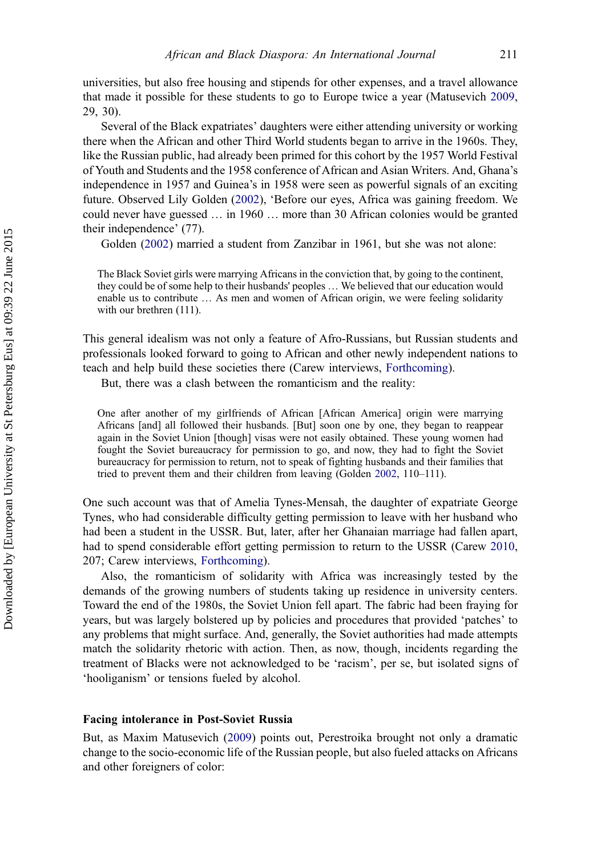universities, but also free housing and stipends for other expenses, and a travel allowance that made it possible for these students to go to Europe twice a year (Matusevich [2009,](#page-15-0) 29, 30).

Several of the Black expatriates' daughters were either attending university or working there when the African and other Third World students began to arrive in the 1960s. They, like the Russian public, had already been primed for this cohort by the 1957 World Festival of Youth and Students and the 1958 conference of African and Asian Writers. And, Ghana's independence in 1957 and Guinea's in 1958 were seen as powerful signals of an exciting future. Observed Lily Golden [\(2002](#page-14-0)), 'Before our eyes, Africa was gaining freedom. We could never have guessed … in 1960 … more than 30 African colonies would be granted their independence' (77).

Golden ([2002\)](#page-14-0) married a student from Zanzibar in 1961, but she was not alone:

The Black Soviet girls were marrying Africans in the conviction that, by going to the continent, they could be of some help to their husbands' peoples … We believed that our education would enable us to contribute ... As men and women of African origin, we were feeling solidarity with our brethren  $(111)$ .

This general idealism was not only a feature of Afro-Russians, but Russian students and professionals looked forward to going to African and other newly independent nations to teach and help build these societies there (Carew interviews, [Forthcoming](#page-14-0)).

But, there was a clash between the romanticism and the reality:

One after another of my girlfriends of African [African America] origin were marrying Africans [and] all followed their husbands. [But] soon one by one, they began to reappear again in the Soviet Union [though] visas were not easily obtained. These young women had fought the Soviet bureaucracy for permission to go, and now, they had to fight the Soviet bureaucracy for permission to return, not to speak of fighting husbands and their families that tried to prevent them and their children from leaving (Golden [2002,](#page-14-0) 110–111).

One such account was that of Amelia Tynes-Mensah, the daughter of expatriate George Tynes, who had considerable difficulty getting permission to leave with her husband who had been a student in the USSR. But, later, after her Ghanaian marriage had fallen apart, had to spend considerable effort getting permission to return to the USSR (Carew [2010,](#page-14-0) 207; Carew interviews, [Forthcoming](#page-14-0)).

Also, the romanticism of solidarity with Africa was increasingly tested by the demands of the growing numbers of students taking up residence in university centers. Toward the end of the 1980s, the Soviet Union fell apart. The fabric had been fraying for years, but was largely bolstered up by policies and procedures that provided 'patches' to any problems that might surface. And, generally, the Soviet authorities had made attempts match the solidarity rhetoric with action. Then, as now, though, incidents regarding the treatment of Blacks were not acknowledged to be 'racism', per se, but isolated signs of 'hooliganism' or tensions fueled by alcohol.

#### Facing intolerance in Post-Soviet Russia

But, as Maxim Matusevich ([2009\)](#page-15-0) points out, Perestroika brought not only a dramatic change to the socio-economic life of the Russian people, but also fueled attacks on Africans and other foreigners of color: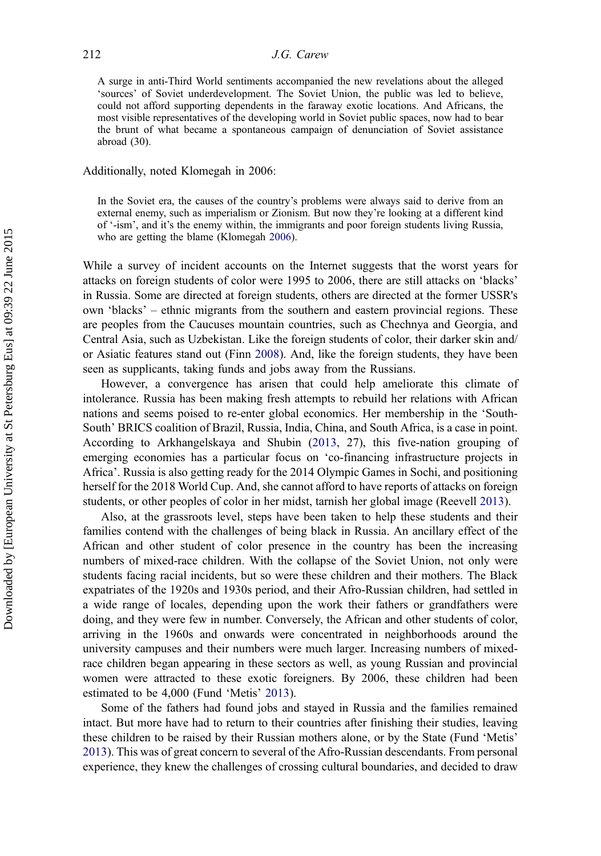A surge in anti-Third World sentiments accompanied the new revelations about the alleged 'sources' of Soviet underdevelopment. The Soviet Union, the public was led to believe, could not afford supporting dependents in the faraway exotic locations. And Africans, the most visible representatives of the developing world in Soviet public spaces, now had to bear the brunt of what became a spontaneous campaign of denunciation of Soviet assistance abroad (30).

#### Additionally, noted Klomegah in 2006:

In the Soviet era, the causes of the country's problems were always said to derive from an external enemy, such as imperialism or Zionism. But now they're looking at a different kind of '-ism', and it's the enemy within, the immigrants and poor foreign students living Russia, who are getting the blame (Klomegah [2006](#page-14-0)).

While a survey of incident accounts on the Internet suggests that the worst years for attacks on foreign students of color were 1995 to 2006, there are still attacks on 'blacks' in Russia. Some are directed at foreign students, others are directed at the former USSR's own 'blacks' – ethnic migrants from the southern and eastern provincial regions. These are peoples from the Caucuses mountain countries, such as Chechnya and Georgia, and Central Asia, such as Uzbekistan. Like the foreign students of color, their darker skin and/ or Asiatic features stand out (Finn [2008](#page-14-0)). And, like the foreign students, they have been seen as supplicants, taking funds and jobs away from the Russians.

However, a convergence has arisen that could help ameliorate this climate of intolerance. Russia has been making fresh attempts to rebuild her relations with African nations and seems poised to re-enter global economics. Her membership in the 'South-South' BRICS coalition of Brazil, Russia, India, China, and South Africa, is a case in point. According to Arkhangelskaya and Shubin ([2013](#page-14-0), 27), this five-nation grouping of emerging economies has a particular focus on 'co-financing infrastructure projects in Africa'. Russia is also getting ready for the 2014 Olympic Games in Sochi, and positioning herself for the 2018 World Cup. And, she cannot afford to have reports of attacks on foreign students, or other peoples of color in her midst, tarnish her global image (Reevell [2013](#page-15-0)).

Also, at the grassroots level, steps have been taken to help these students and their families contend with the challenges of being black in Russia. An ancillary effect of the African and other student of color presence in the country has been the increasing numbers of mixed-race children. With the collapse of the Soviet Union, not only were students facing racial incidents, but so were these children and their mothers. The Black expatriates of the 1920s and 1930s period, and their Afro-Russian children, had settled in a wide range of locales, depending upon the work their fathers or grandfathers were doing, and they were few in number. Conversely, the African and other students of color, arriving in the 1960s and onwards were concentrated in neighborhoods around the university campuses and their numbers were much larger. Increasing numbers of mixedrace children began appearing in these sectors as well, as young Russian and provincial women were attracted to these exotic foreigners. By 2006, these children had been estimated to be 4,000 (Fund 'Metis' [2013\)](#page-14-0).

Some of the fathers had found jobs and stayed in Russia and the families remained intact. But more have had to return to their countries after finishing their studies, leaving these children to be raised by their Russian mothers alone, or by the State (Fund 'Metis' [2013\)](#page-14-0). This was of great concern to several of the Afro-Russian descendants. From personal experience, they knew the challenges of crossing cultural boundaries, and decided to draw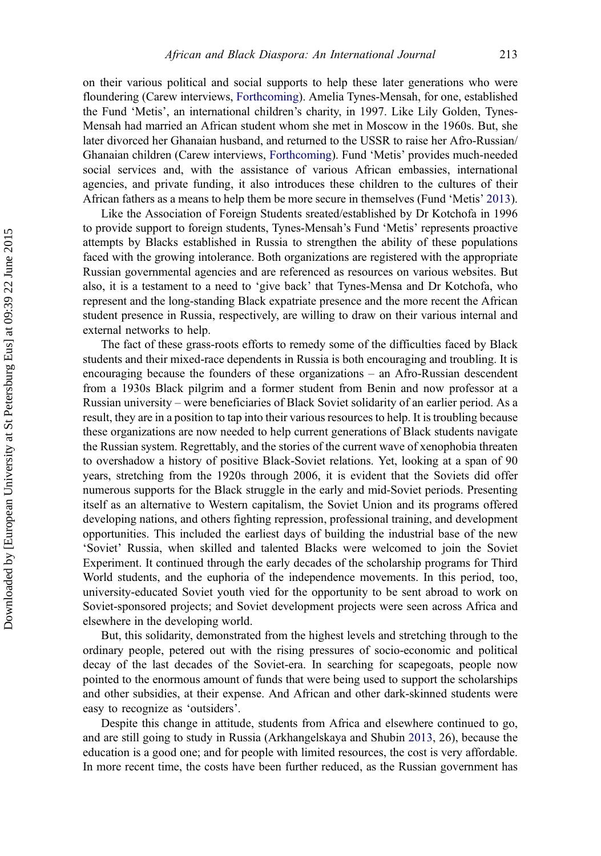on their various political and social supports to help these later generations who were floundering (Carew interviews, [Forthcoming](#page-14-0)). Amelia Tynes-Mensah, for one, established the Fund 'Metis', an international children's charity, in 1997. Like Lily Golden, Tynes-Mensah had married an African student whom she met in Moscow in the 1960s. But, she later divorced her Ghanaian husband, and returned to the USSR to raise her Afro-Russian/ Ghanaian children (Carew interviews, [Forthcoming](#page-14-0)). Fund 'Metis' provides much-needed social services and, with the assistance of various African embassies, international agencies, and private funding, it also introduces these children to the cultures of their African fathers as a means to help them be more secure in themselves (Fund 'Metis' [2013](#page-14-0)).

Like the Association of Foreign Students sreated/established by Dr Kotchofa in 1996 to provide support to foreign students, Tynes-Mensah's Fund 'Metis' represents proactive attempts by Blacks established in Russia to strengthen the ability of these populations faced with the growing intolerance. Both organizations are registered with the appropriate Russian governmental agencies and are referenced as resources on various websites. But also, it is a testament to a need to 'give back' that Tynes-Mensa and Dr Kotchofa, who represent and the long-standing Black expatriate presence and the more recent the African student presence in Russia, respectively, are willing to draw on their various internal and external networks to help.

The fact of these grass-roots efforts to remedy some of the difficulties faced by Black students and their mixed-race dependents in Russia is both encouraging and troubling. It is encouraging because the founders of these organizations – an Afro-Russian descendent from a 1930s Black pilgrim and a former student from Benin and now professor at a Russian university – were beneficiaries of Black Soviet solidarity of an earlier period. As a result, they are in a position to tap into their various resources to help. It is troubling because these organizations are now needed to help current generations of Black students navigate the Russian system. Regrettably, and the stories of the current wave of xenophobia threaten to overshadow a history of positive Black-Soviet relations. Yet, looking at a span of 90 years, stretching from the 1920s through 2006, it is evident that the Soviets did offer numerous supports for the Black struggle in the early and mid-Soviet periods. Presenting itself as an alternative to Western capitalism, the Soviet Union and its programs offered developing nations, and others fighting repression, professional training, and development opportunities. This included the earliest days of building the industrial base of the new 'Soviet' Russia, when skilled and talented Blacks were welcomed to join the Soviet Experiment. It continued through the early decades of the scholarship programs for Third World students, and the euphoria of the independence movements. In this period, too, university-educated Soviet youth vied for the opportunity to be sent abroad to work on Soviet-sponsored projects; and Soviet development projects were seen across Africa and elsewhere in the developing world.

But, this solidarity, demonstrated from the highest levels and stretching through to the ordinary people, petered out with the rising pressures of socio-economic and political decay of the last decades of the Soviet-era. In searching for scapegoats, people now pointed to the enormous amount of funds that were being used to support the scholarships and other subsidies, at their expense. And African and other dark-skinned students were easy to recognize as 'outsiders'.

Despite this change in attitude, students from Africa and elsewhere continued to go, and are still going to study in Russia (Arkhangelskaya and Shubin [2013](#page-14-0), 26), because the education is a good one; and for people with limited resources, the cost is very affordable. In more recent time, the costs have been further reduced, as the Russian government has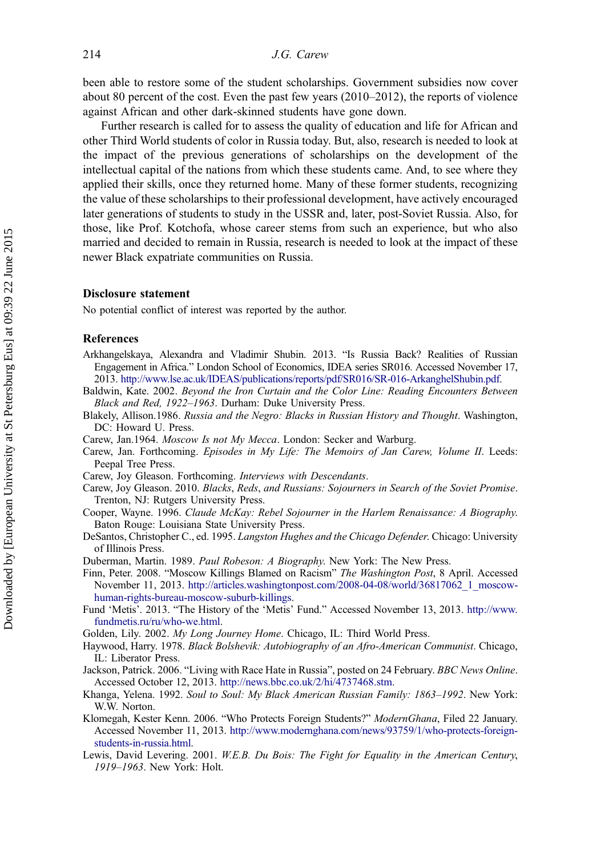<span id="page-14-0"></span>been able to restore some of the student scholarships. Government subsidies now cover about 80 percent of the cost. Even the past few years (2010–2012), the reports of violence against African and other dark-skinned students have gone down.

Further research is called for to assess the quality of education and life for African and other Third World students of color in Russia today. But, also, research is needed to look at the impact of the previous generations of scholarships on the development of the intellectual capital of the nations from which these students came. And, to see where they applied their skills, once they returned home. Many of these former students, recognizing the value of these scholarships to their professional development, have actively encouraged later generations of students to study in the USSR and, later, post-Soviet Russia. Also, for those, like Prof. Kotchofa, whose career stems from such an experience, but who also married and decided to remain in Russia, research is needed to look at the impact of these newer Black expatriate communities on Russia.

#### Disclosure statement

No potential conflict of interest was reported by the author.

## References

- Arkhangelskaya, Alexandra and Vladimir Shubin. 2013. "Is Russia Back? Realities of Russian Engagement in Africa." London School of Economics, IDEA series SR016. Accessed November 17, 2013. [http://www.lse.ac.uk/IDEAS/publications/reports/pdf/SR016/SR-016-ArkanghelShubin.pdf.](http://www.lse.ac.uk/IDEAS/publications/reports/pdf/SR016/SR-016-ArkanghelShubin.pdf)
- Baldwin, Kate. 2002. Beyond the Iron Curtain and the Color Line: Reading Encounters Between Black and Red, 1922–1963. Durham: Duke University Press.
- Blakely, Allison.1986. Russia and the Negro: Blacks in Russian History and Thought. Washington, DC: Howard U. Press.
- Carew, Jan.1964. Moscow Is not My Mecca. London: Secker and Warburg.
- Carew, Jan. Forthcoming. Episodes in My Life: The Memoirs of Jan Carew, Volume II. Leeds: Peepal Tree Press.
- Carew, Joy Gleason. Forthcoming. Interviews with Descendants.
- Carew, Joy Gleason. 2010. Blacks, Reds, and Russians: Sojourners in Search of the Soviet Promise. Trenton, NJ: Rutgers University Press.
- Cooper, Wayne. 1996. Claude McKay: Rebel Sojourner in the Harlem Renaissance: A Biography. Baton Rouge: Louisiana State University Press.
- DeSantos, Christopher C., ed. 1995. Langston Hughes and the Chicago Defender. Chicago: University of Illinois Press.
- Duberman, Martin. 1989. Paul Robeson: A Biography. New York: The New Press.
- Finn, Peter. 2008. "Moscow Killings Blamed on Racism" The Washington Post, 8 April. Accessed November 11, 2013. [http://articles.washingtonpost.com/2008-04-08/world/36817062\\_1\\_moscow](http://articles.washingtonpost.com/2008-04-08/world/36817062_1_moscow-human-rights-bureau-moscow-suburb-killings)[human-rights-bureau-moscow-suburb-killings.](http://articles.washingtonpost.com/2008-04-08/world/36817062_1_moscow-human-rights-bureau-moscow-suburb-killings)
- Fund 'Metis'. 2013. "The History of the 'Metis' Fund." Accessed November 13, 2013. [http://www.](http://www.fundmetis.ru/ru/who-we.html) [fundmetis.ru/ru/who-we.html.](http://www.fundmetis.ru/ru/who-we.html)

Golden, Lily. 2002. My Long Journey Home. Chicago, IL: Third World Press.

- Haywood, Harry. 1978. Black Bolshevik: Autobiography of an Afro-American Communist. Chicago, IL: Liberator Press.
- Jackson, Patrick. 2006. "Living with Race Hate in Russia", posted on 24 February. BBC News Online. Accessed October 12, 2013. [http://news.bbc.co.uk/2/hi/4737468.stm.](http://news.bbc.co.uk/2/hi/4737468.stm)
- Khanga, Yelena. 1992. Soul to Soul: My Black American Russian Family: 1863–1992. New York: W.W. Norton.
- Klomegah, Kester Kenn. 2006. "Who Protects Foreign Students?" ModernGhana, Filed 22 January. Accessed November 11, 2013. [http://www.modernghana.com/news/93759/1/who-protects-foreign](http://www.modernghana.com/news/93759/1/who-protects-foreign-students-in-russia.html)[students-in-russia.html.](http://www.modernghana.com/news/93759/1/who-protects-foreign-students-in-russia.html)
- Lewis, David Levering. 2001. W.E.B. Du Bois: The Fight for Equality in the American Century, 1919–1963. New York: Holt.